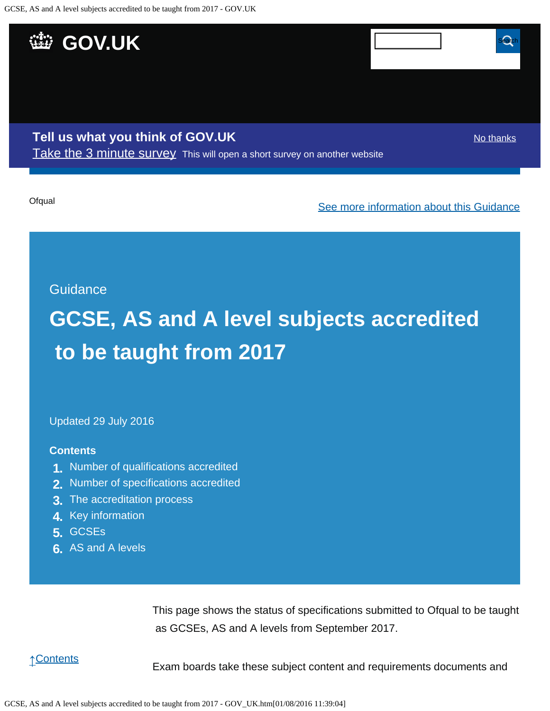<span id="page-0-0"></span>

Updated 29 July 2016

#### **Contents**

- **1.** [Number of qualifications accredited](https://www.gov.uk/government/publications/accreditation-of-gcses-as-a-levels-for-teaching-from-2017/gcse-as-and-a-level-subjects-accredited-to-be-taught-from-2017#number-of-qualifications-accredited)
- **2.** [Number of specifications accredited](https://www.gov.uk/government/publications/accreditation-of-gcses-as-a-levels-for-teaching-from-2017/gcse-as-and-a-level-subjects-accredited-to-be-taught-from-2017#number-of-specifications-accredited)
- **3.** [The accreditation process](https://www.gov.uk/government/publications/accreditation-of-gcses-as-a-levels-for-teaching-from-2017/gcse-as-and-a-level-subjects-accredited-to-be-taught-from-2017#the-accreditation-process)
- **4.** [Key information](https://www.gov.uk/government/publications/accreditation-of-gcses-as-a-levels-for-teaching-from-2017/gcse-as-and-a-level-subjects-accredited-to-be-taught-from-2017#key-information)
- **5.** [GCSEs](https://www.gov.uk/government/publications/accreditation-of-gcses-as-a-levels-for-teaching-from-2017/gcse-as-and-a-level-subjects-accredited-to-be-taught-from-2017#gcses)
- **6.** [AS and A levels](https://www.gov.uk/government/publications/accreditation-of-gcses-as-a-levels-for-teaching-from-2017/gcse-as-and-a-level-subjects-accredited-to-be-taught-from-2017#as-and-a-levels)

This page shows the status of specifications submitted to Ofqual to be taught as GCSEs, AS and A levels from September 2017.

↑[Contents](https://www.gov.uk/government/publications/accreditation-of-gcses-as-a-levels-for-teaching-from-2017/gcse-as-and-a-level-subjects-accredited-to-be-taught-from-2017#contents)

Exam boards take these subject content and requirements documents and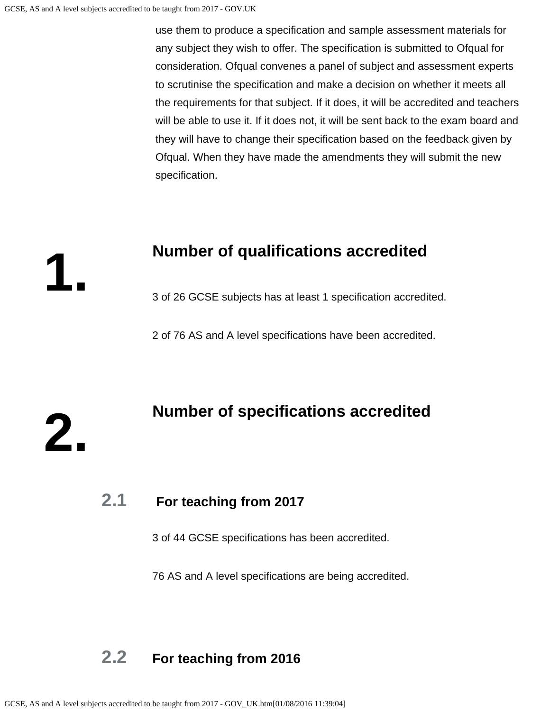**1.**

**2.**

 use them to produce a specification and sample assessment materials for any subject they wish to offer. The specification is submitted to Ofqual for consideration. Ofqual convenes a panel of subject and assessment experts to scrutinise the specification and make a decision on whether it meets all the requirements for that subject. If it does, it will be accredited and teachers will be able to use it. If it does not, it will be sent back to the exam board and they will have to change their specification based on the feedback given by Ofqual. When they have made the amendments they will submit the new specification.

#### **Number of qualifications accredited**

3 of 26 GCSE subjects has at least 1 specification accredited.

2 of 76 AS and A level specifications have been accredited.

# **Number of specifications accredited**

#### **2.1 For teaching from 2017**

3 of 44 GCSE specifications has been accredited.

76 AS and A level specifications are being accredited.

### **2.2 For teaching from 2016**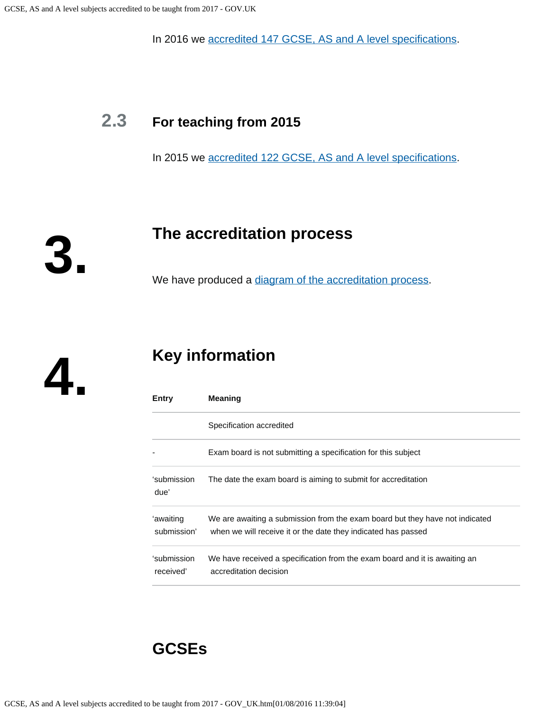In 2016 we [accredited 147 GCSE, AS and A level specifications](https://www.gov.uk/government/publications/accreditation-of-gcses-as-a-levels-for-teaching-from-2016).

### **2.3 For teaching from 2015**

In 2015 we [accredited 122 GCSE, AS and A level specifications](https://www.gov.uk/government/publications/new-gcses-as-and-a-levels-accredited-to-be-taught-from-2015).

**The accreditation process**

We have produced a [diagram of the accreditation process](https://www.gov.uk/government/publications/your-qualification-our-regulation-gcse-as-and-a-level-reforms#attachment_1634078).

**4.**

**3.**

# **Key information**

| Entry                    | <b>Meaning</b>                                                                                                                                |
|--------------------------|-----------------------------------------------------------------------------------------------------------------------------------------------|
|                          | Specification accredited                                                                                                                      |
|                          | Exam board is not submitting a specification for this subject                                                                                 |
| 'submission<br>due'      | The date the exam board is aiming to submit for accreditation                                                                                 |
| 'awaiting<br>submission' | We are awaiting a submission from the exam board but they have not indicated<br>when we will receive it or the date they indicated has passed |
| 'submission<br>received' | We have received a specification from the exam board and it is awaiting an<br>accreditation decision                                          |

### **GCSEs**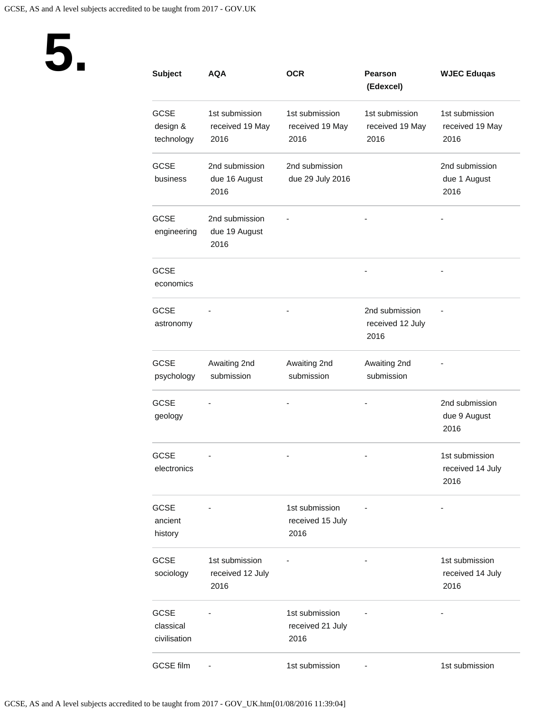

| <b>Subject</b>                           | <b>AQA</b>                                 | <b>OCR</b>                                 | <b>Pearson</b><br>(Edexcel)                | <b>WJEC Eduqas</b>                         |
|------------------------------------------|--------------------------------------------|--------------------------------------------|--------------------------------------------|--------------------------------------------|
| <b>GCSE</b><br>design &<br>technology    | 1st submission<br>received 19 May<br>2016  | 1st submission<br>received 19 May<br>2016  | 1st submission<br>received 19 May<br>2016  | 1st submission<br>received 19 May<br>2016  |
| <b>GCSE</b><br>business                  | 2nd submission<br>due 16 August<br>2016    | 2nd submission<br>due 29 July 2016         |                                            | 2nd submission<br>due 1 August<br>2016     |
| <b>GCSE</b><br>engineering               | 2nd submission<br>due 19 August<br>2016    |                                            |                                            |                                            |
| <b>GCSE</b><br>economics                 |                                            |                                            |                                            |                                            |
| <b>GCSE</b><br>astronomy                 |                                            |                                            | 2nd submission<br>received 12 July<br>2016 |                                            |
| <b>GCSE</b><br>psychology                | Awaiting 2nd<br>submission                 | Awaiting 2nd<br>submission                 | Awaiting 2nd<br>submission                 |                                            |
| <b>GCSE</b><br>geology                   |                                            |                                            |                                            | 2nd submission<br>due 9 August<br>2016     |
| <b>GCSE</b><br>electronics               |                                            |                                            |                                            | 1st submission<br>received 14 July<br>2016 |
| <b>GCSE</b><br>ancient<br>history        |                                            | 1st submission<br>received 15 July<br>2016 |                                            |                                            |
| <b>GCSE</b><br>sociology                 | 1st submission<br>received 12 July<br>2016 |                                            |                                            | 1st submission<br>received 14 July<br>2016 |
| <b>GCSE</b><br>classical<br>civilisation |                                            | 1st submission<br>received 21 July<br>2016 |                                            |                                            |
| <b>GCSE film</b>                         |                                            | 1st submission                             |                                            | 1st submission                             |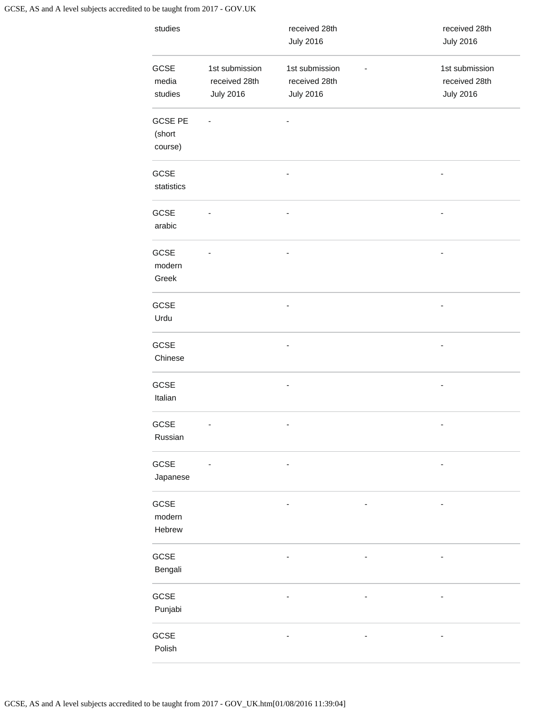| studies                             |                                                     | received 28th<br><b>July 2016</b>                   | received 28th<br><b>July 2016</b>                   |
|-------------------------------------|-----------------------------------------------------|-----------------------------------------------------|-----------------------------------------------------|
| GCSE<br>media<br>studies            | 1st submission<br>received 28th<br><b>July 2016</b> | 1st submission<br>received 28th<br><b>July 2016</b> | 1st submission<br>received 28th<br><b>July 2016</b> |
| <b>GCSE PE</b><br>(short<br>course) |                                                     |                                                     |                                                     |
| GCSE<br>statistics                  |                                                     |                                                     | $\overline{a}$                                      |
| GCSE<br>arabic                      |                                                     |                                                     | $\overline{\phantom{0}}$                            |
| GCSE<br>modern<br>Greek             |                                                     |                                                     |                                                     |
| <b>GCSE</b><br>Urdu                 |                                                     |                                                     |                                                     |
| GCSE<br>Chinese                     |                                                     |                                                     | $\overline{\phantom{0}}$                            |
| GCSE<br>Italian                     |                                                     |                                                     | -                                                   |
| GCSE<br>Russian                     |                                                     |                                                     | $\qquad \qquad \blacksquare$                        |
| GCSE<br>Japanese                    |                                                     |                                                     |                                                     |
| GCSE<br>modern<br>Hebrew            |                                                     |                                                     |                                                     |
| GCSE<br>Bengali                     |                                                     |                                                     |                                                     |
| GCSE<br>Punjabi                     |                                                     |                                                     |                                                     |
| GCSE<br>Polish                      |                                                     |                                                     |                                                     |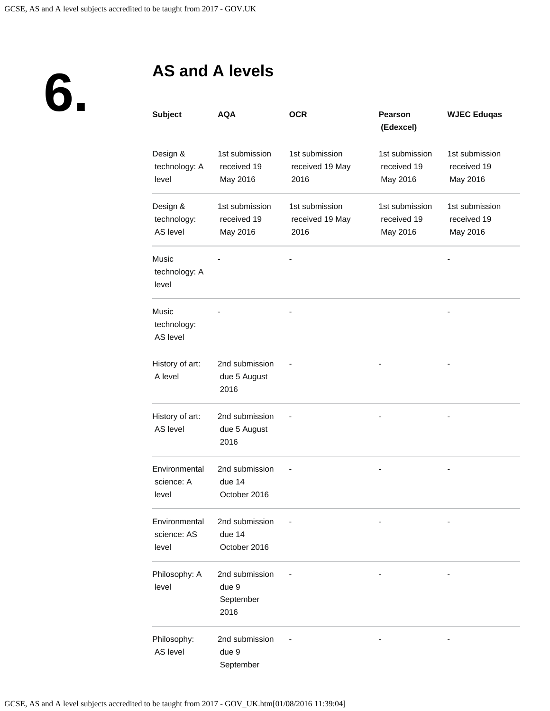**6.**

# **AS and A levels**

| <b>Subject</b>                         | AQA                                          | <b>OCR</b>                                | <b>Pearson</b><br>(Edexcel)               | <b>WJEC Eduqas</b>                        |
|----------------------------------------|----------------------------------------------|-------------------------------------------|-------------------------------------------|-------------------------------------------|
| Design &<br>technology: A<br>level     | 1st submission<br>received 19<br>May 2016    | 1st submission<br>received 19 May<br>2016 | 1st submission<br>received 19<br>May 2016 | 1st submission<br>received 19<br>May 2016 |
| Design &<br>technology:<br>AS level    | 1st submission<br>received 19<br>May 2016    | 1st submission<br>received 19 May<br>2016 | 1st submission<br>received 19<br>May 2016 | 1st submission<br>received 19<br>May 2016 |
| <b>Music</b><br>technology: A<br>level |                                              |                                           |                                           |                                           |
| Music<br>technology:<br>AS level       |                                              |                                           |                                           |                                           |
| History of art:<br>A level             | 2nd submission<br>due 5 August<br>2016       |                                           |                                           |                                           |
| History of art:<br>AS level            | 2nd submission<br>due 5 August<br>2016       |                                           |                                           |                                           |
| Environmental<br>science: A<br>level   | 2nd submission<br>due 14<br>October 2016     |                                           |                                           |                                           |
| Environmental<br>science: AS<br>level  | 2nd submission<br>due 14<br>October 2016     |                                           |                                           |                                           |
| Philosophy: A<br>level                 | 2nd submission<br>due 9<br>September<br>2016 |                                           |                                           |                                           |
| Philosophy:<br>AS level                | 2nd submission<br>due 9<br>September         |                                           |                                           |                                           |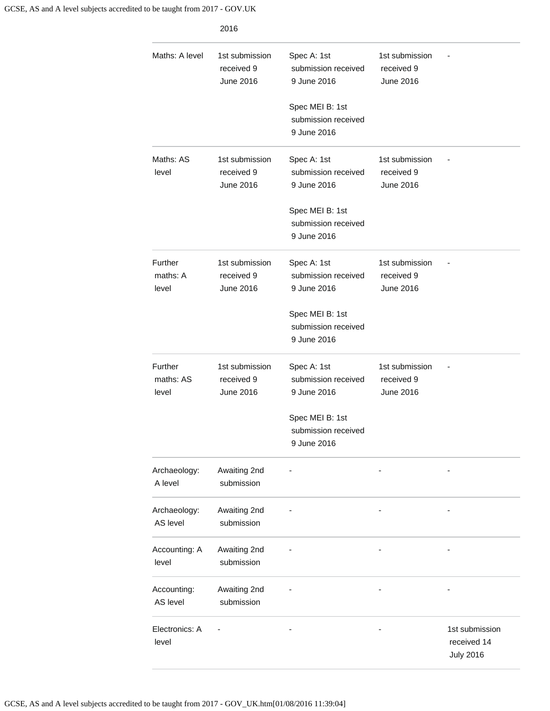| Maths: A level                | 1st submission<br>received 9<br><b>June 2016</b> | Spec A: 1st<br>submission received<br>9 June 2016<br>Spec MEI B: 1st<br>submission received<br>9 June 2016 | 1st submission<br>received 9<br>June 2016 |                                                   |
|-------------------------------|--------------------------------------------------|------------------------------------------------------------------------------------------------------------|-------------------------------------------|---------------------------------------------------|
| Maths: AS<br>level            | 1st submission<br>received 9<br>June 2016        | Spec A: 1st<br>submission received<br>9 June 2016<br>Spec MEI B: 1st<br>submission received<br>9 June 2016 | 1st submission<br>received 9<br>June 2016 |                                                   |
| Further<br>maths: A<br>level  | 1st submission<br>received 9<br><b>June 2016</b> | Spec A: 1st<br>submission received<br>9 June 2016<br>Spec MEI B: 1st<br>submission received<br>9 June 2016 | 1st submission<br>received 9<br>June 2016 |                                                   |
| Further<br>maths: AS<br>level | 1st submission<br>received 9<br>June 2016        | Spec A: 1st<br>submission received<br>9 June 2016<br>Spec MEI B: 1st<br>submission received<br>9 June 2016 | 1st submission<br>received 9<br>June 2016 |                                                   |
| Archaeology:<br>A level       | Awaiting 2nd<br>submission                       |                                                                                                            |                                           |                                                   |
| Archaeology:<br>AS level      | Awaiting 2nd<br>submission                       |                                                                                                            |                                           |                                                   |
| Accounting: A<br>level        | Awaiting 2nd<br>submission                       |                                                                                                            |                                           |                                                   |
| Accounting:<br>AS level       | Awaiting 2nd<br>submission                       |                                                                                                            |                                           |                                                   |
| Electronics: A<br>level       |                                                  |                                                                                                            |                                           | 1st submission<br>received 14<br><b>July 2016</b> |

2016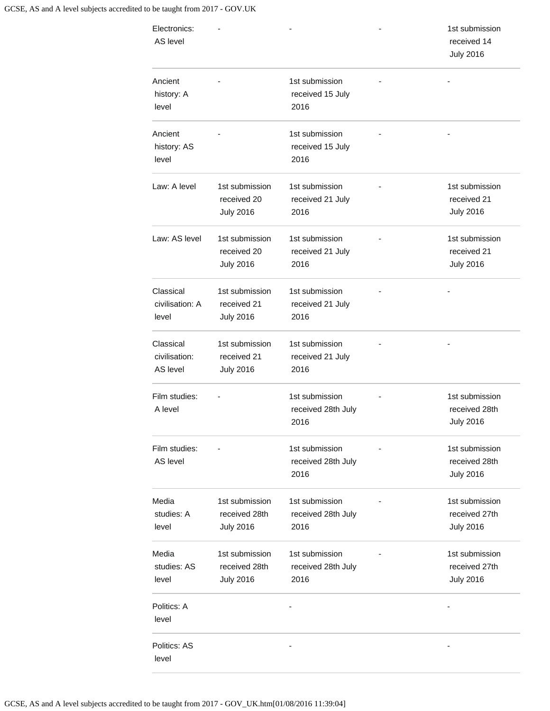| Electronics:<br>AS level               |                                                     |                                              | 1st submission<br>received 14<br><b>July 2016</b>   |
|----------------------------------------|-----------------------------------------------------|----------------------------------------------|-----------------------------------------------------|
| Ancient<br>history: A<br>level         |                                                     | 1st submission<br>received 15 July<br>2016   |                                                     |
| Ancient<br>history: AS<br>level        |                                                     | 1st submission<br>received 15 July<br>2016   |                                                     |
| Law: A level                           | 1st submission<br>received 20<br><b>July 2016</b>   | 1st submission<br>received 21 July<br>2016   | 1st submission<br>received 21<br><b>July 2016</b>   |
| Law: AS level                          | 1st submission<br>received 20<br><b>July 2016</b>   | 1st submission<br>received 21 July<br>2016   | 1st submission<br>received 21<br><b>July 2016</b>   |
| Classical<br>civilisation: A<br>level  | 1st submission<br>received 21<br><b>July 2016</b>   | 1st submission<br>received 21 July<br>2016   |                                                     |
| Classical<br>civilisation:<br>AS level | 1st submission<br>received 21<br><b>July 2016</b>   | 1st submission<br>received 21 July<br>2016   |                                                     |
| Film studies:<br>A level               |                                                     | 1st submission<br>received 28th July<br>2016 | 1st submission<br>received 28th<br><b>July 2016</b> |
| Film studies:<br>AS level              |                                                     | 1st submission<br>received 28th July<br>2016 | 1st submission<br>received 28th<br><b>July 2016</b> |
| Media<br>studies: A<br>level           | 1st submission<br>received 28th<br><b>July 2016</b> | 1st submission<br>received 28th July<br>2016 | 1st submission<br>received 27th<br><b>July 2016</b> |
| Media<br>studies: AS<br>level          | 1st submission<br>received 28th<br><b>July 2016</b> | 1st submission<br>received 28th July<br>2016 | 1st submission<br>received 27th<br><b>July 2016</b> |
| Politics: A<br>level                   |                                                     |                                              |                                                     |
| Politics: AS<br>level                  |                                                     |                                              |                                                     |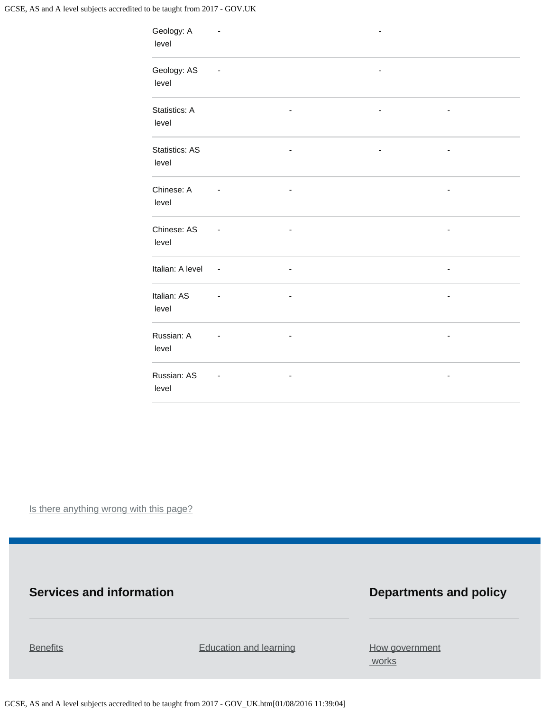GCSE, AS and A level subjects accredited to be taught from 2017 - GOV.UK

| Geology: A<br>level            |        |                              |  |  |
|--------------------------------|--------|------------------------------|--|--|
| Geology: AS<br>level           |        |                              |  |  |
| Statistics: A<br>level         |        |                              |  |  |
| <b>Statistics: AS</b><br>level |        |                              |  |  |
| Chinese: A<br>level            |        |                              |  |  |
| Chinese: AS<br>level           |        |                              |  |  |
| Italian: A level               | $\sim$ | $\qquad \qquad \blacksquare$ |  |  |
| Italian: AS<br>level           |        | $\qquad \qquad \blacksquare$ |  |  |
| Russian: A<br>level            |        |                              |  |  |
| Russian: AS<br>level           |        | -                            |  |  |

Is there anything wrong with this page?